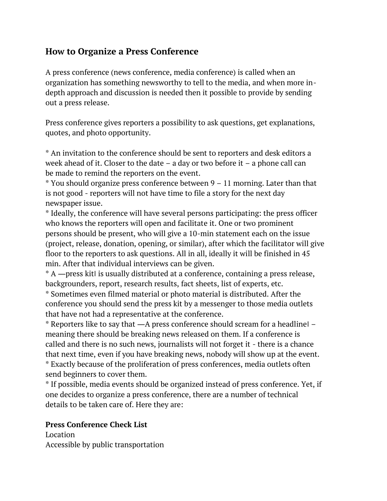## **How to Organize a Press Conference**

A press conference (news conference, media conference) is called when an organization has something newsworthy to tell to the media, and when more indepth approach and discussion is needed then it possible to provide by sending out a press release.

Press conference gives reporters a possibility to ask questions, get explanations, quotes, and photo opportunity.

\* An invitation to the conference should be sent to reporters and desk editors a week ahead of it. Closer to the date – a day or two before it – a phone call can be made to remind the reporters on the event.

\* You should organize press conference between 9 – 11 morning. Later than that is not good - reporters will not have time to file a story for the next day newspaper issue.

\* Ideally, the conference will have several persons participating: the press officer who knows the reporters will open and facilitate it. One or two prominent persons should be present, who will give a 10-min statement each on the issue (project, release, donation, opening, or similar), after which the facilitator will give floor to the reporters to ask questions. All in all, ideally it will be finished in 45 min. After that individual interviews can be given.

\* A ―press kit‖ is usually distributed at a conference, containing a press release, backgrounders, report, research results, fact sheets, list of experts, etc.

\* Sometimes even filmed material or photo material is distributed. After the conference you should send the press kit by a messenger to those media outlets that have not had a representative at the conference.

\* Reporters like to say that ―A press conference should scream for a headline‖ – meaning there should be breaking news released on them. If a conference is called and there is no such news, journalists will not forget it - there is a chance that next time, even if you have breaking news, nobody will show up at the event. \* Exactly because of the proliferation of press conferences, media outlets often send beginners to cover them.

\* If possible, media events should be organized instead of press conference. Yet, if one decides to organize a press conference, there are a number of technical details to be taken care of. Here they are:

## **Press Conference Check List**

Location Accessible by public transportation